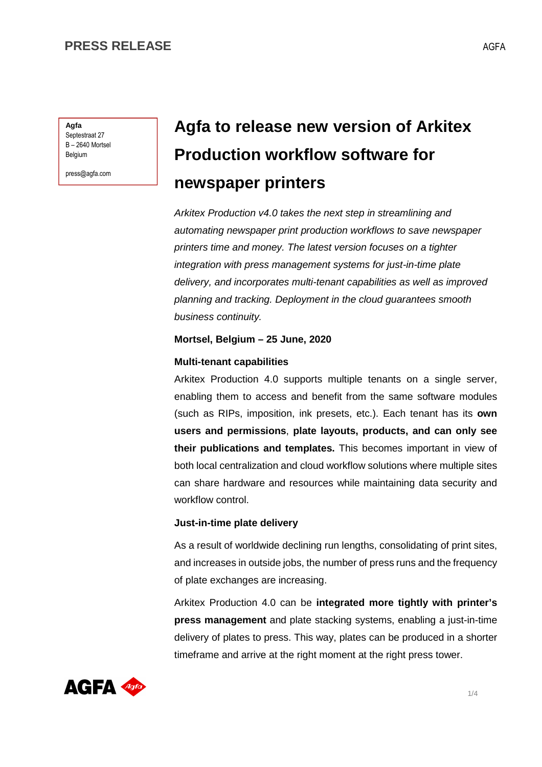**Agfa** Septestraat 27 B – 2640 Mortsel Belgium

press@agfa.com

# **Agfa to release new version of Arkitex Production workflow software for newspaper printers**

Arkitex Production v4.0 takes the next step in streamlining and automating newspaper print production workflows to save newspaper printers time and money. The latest version focuses on a tighter integration with press management systems for just-in-time plate delivery, and incorporates multi-tenant capabilities as well as improved planning and tracking. Deployment in the cloud guarantees smooth business continuity.

### **Mortsel, Belgium – 25 June, 2020**

### **Multi-tenant capabilities**

Arkitex Production 4.0 supports multiple tenants on a single server, enabling them to access and benefit from the same software modules (such as RIPs, imposition, ink presets, etc.). Each tenant has its **own users and permissions**, **plate layouts, products, and can only see their publications and templates.** This becomes important in view of both local centralization and cloud workflow solutions where multiple sites can share hardware and resources while maintaining data security and workflow control.

## **Just-in-time plate delivery**

As a result of worldwide declining run lengths, consolidating of print sites, and increases in outside jobs, the number of press runs and the frequency of plate exchanges are increasing.

Arkitex Production 4.0 can be **integrated more tightly with printer's press management** and plate stacking systems, enabling a just-in-time delivery of plates to press. This way, plates can be produced in a shorter timeframe and arrive at the right moment at the right press tower.

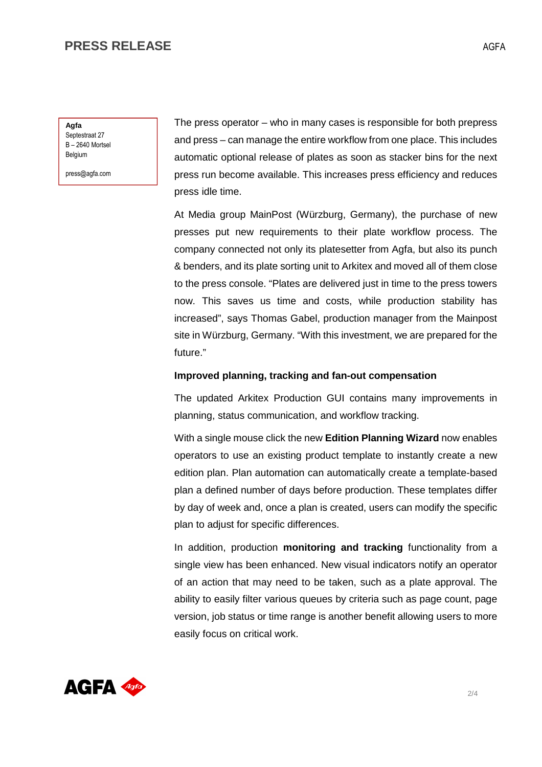## **PRESS RELEASE**

**Agfa** Septestraat 27 B – 2640 Mortsel Belgium

press@agfa.com

The press operator – who in many cases is responsible for both prepress and press – can manage the entire workflow from one place. This includes automatic optional release of plates as soon as stacker bins for the next press run become available. This increases press efficiency and reduces press idle time.

At Media group MainPost (Würzburg, Germany), the purchase of new presses put new requirements to their plate workflow process. The company connected not only its platesetter from Agfa, but also its punch & benders, and its plate sorting unit to Arkitex and moved all of them close to the press console. "Plates are delivered just in time to the press towers now. This saves us time and costs, while production stability has increased", says Thomas Gabel, production manager from the Mainpost site in Würzburg, Germany. "With this investment, we are prepared for the future."

#### **Improved planning, tracking and fan-out compensation**

The updated Arkitex Production GUI contains many improvements in planning, status communication, and workflow tracking.

With a single mouse click the new **Edition Planning Wizard** now enables operators to use an existing product template to instantly create a new edition plan. Plan automation can automatically create a template-based plan a defined number of days before production. These templates differ by day of week and, once a plan is created, users can modify the specific plan to adjust for specific differences.

In addition, production **monitoring and tracking** functionality from a single view has been enhanced. New visual indicators notify an operator of an action that may need to be taken, such as a plate approval. The ability to easily filter various queues by criteria such as page count, page version, job status or time range is another benefit allowing users to more easily focus on critical work.

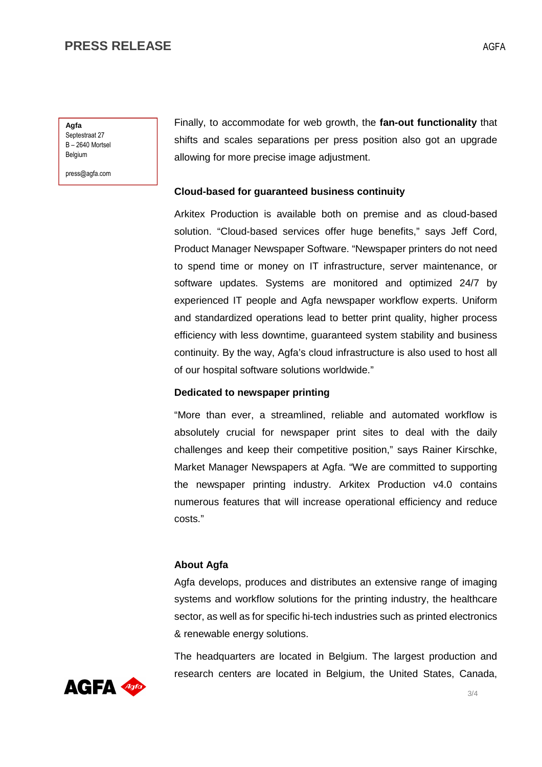## **PRESS RELEASE**

**Agfa** Septestraat 27 B – 2640 Mortsel Belgium

press@agfa.com

Finally, to accommodate for web growth, the **fan-out functionality** that shifts and scales separations per press position also got an upgrade allowing for more precise image adjustment.

## **Cloud-based for guaranteed business continuity**

Arkitex Production is available both on premise and as cloud-based solution. "Cloud-based services offer huge benefits," says Jeff Cord, Product Manager Newspaper Software. "Newspaper printers do not need to spend time or money on IT infrastructure, server maintenance, or software updates. Systems are monitored and optimized 24/7 by experienced IT people and Agfa newspaper workflow experts. Uniform and standardized operations lead to better print quality, higher process efficiency with less downtime, guaranteed system stability and business continuity. By the way, Agfa's cloud infrastructure is also used to host all of our hospital software solutions worldwide."

## **Dedicated to newspaper printing**

"More than ever, a streamlined, reliable and automated workflow is absolutely crucial for newspaper print sites to deal with the daily challenges and keep their competitive position," says Rainer Kirschke, Market Manager Newspapers at Agfa. "We are committed to supporting the newspaper printing industry. Arkitex Production v4.0 contains numerous features that will increase operational efficiency and reduce costs."

## **About Agfa**

Agfa develops, produces and distributes an extensive range of imaging systems and workflow solutions for the printing industry, the healthcare sector, as well as for specific hi-tech industries such as printed electronics & renewable energy solutions.

The headquarters are located in Belgium. The largest production and research centers are located in Belgium, the United States, Canada,